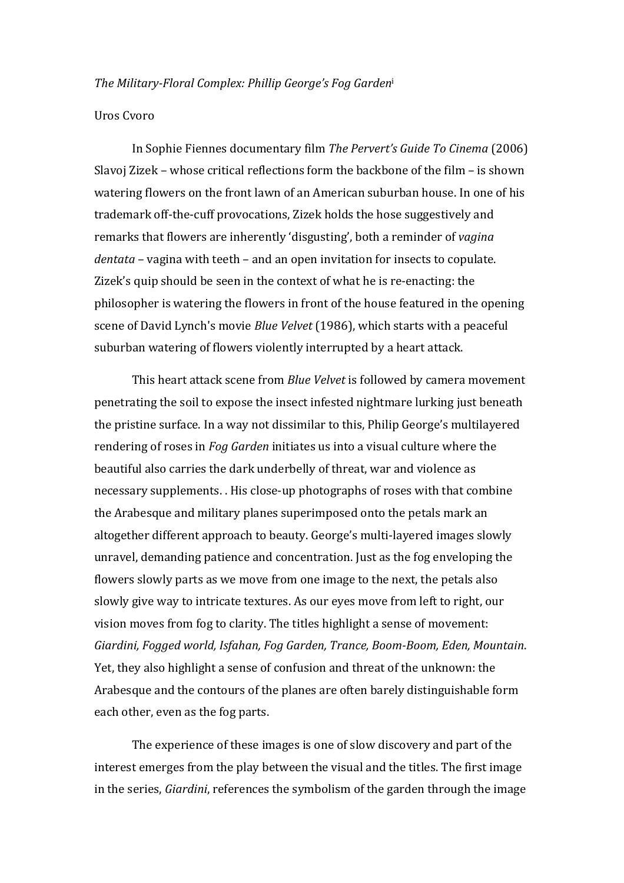## *The Military-Floral Complex: Phillip George's Fog Gardeni*

## Uros Cvoro

In Sophie Fiennes documentary film *The Pervert's Guide To Cinema* (2006) Slavoj Zizek – whose critical reflections form the backbone of the film – is shown watering flowers on the front lawn of an American suburban house. In one of his trademark off-the-cuff provocations, Zizek holds the hose suggestively and remarks that flowers are inherently 'disgusting', both a reminder of *vagina dentata* – vagina with teeth – and an open invitation for insects to copulate. Zizek's quip should be seen in the context of what he is re-enacting: the philosopher is watering the flowers in front of the house featured in the opening scene of David Lynch's movie *Blue Velvet* (1986), which starts with a peaceful suburban watering of flowers violently interrupted by a heart attack.

This heart attack scene from *Blue Velvet* is followed by camera movement penetrating the soil to expose the insect infested nightmare lurking just beneath the pristine surface. In a way not dissimilar to this, Philip George's multilayered rendering of roses in *Fog Garden* initiates us into a visual culture where the beautiful also carries the dark underbelly of threat, war and violence as necessary supplements. . His close-up photographs of roses with that combine the Arabesque and military planes superimposed onto the petals mark an altogether different approach to beauty. George's multi-layered images slowly unravel, demanding patience and concentration. Just as the fog enveloping the flowers slowly parts as we move from one image to the next, the petals also slowly give way to intricate textures. As our eyes move from left to right, our vision moves from fog to clarity. The titles highlight a sense of movement: Giardini, Fogged world, Isfahan, Fog Garden, Trance, Boom-Boom, Eden, Mountain. Yet, they also highlight a sense of confusion and threat of the unknown: the Arabesque and the contours of the planes are often barely distinguishable form each other, even as the fog parts.

The experience of these images is one of slow discovery and part of the interest emerges from the play between the visual and the titles. The first image in the series, *Giardini*, references the symbolism of the garden through the image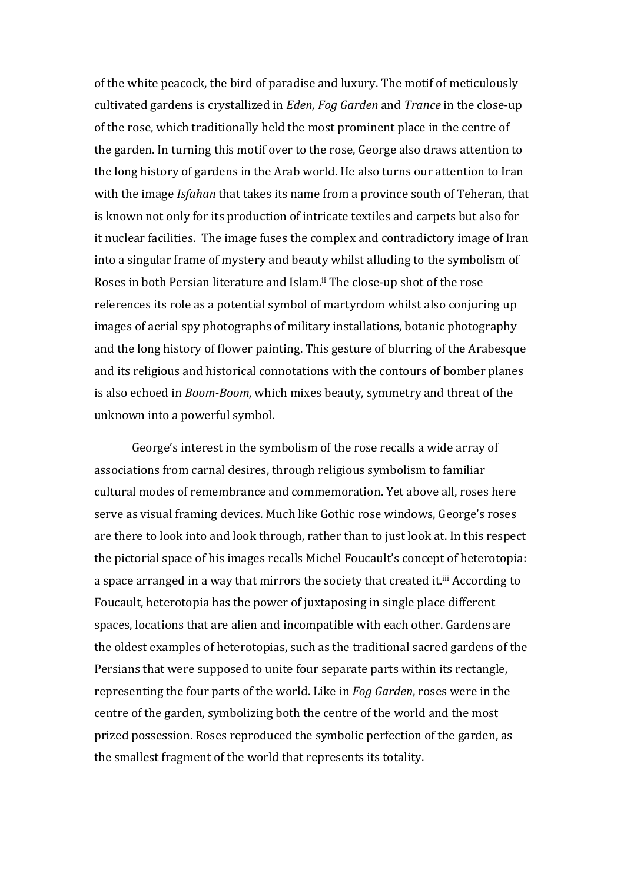of the white peacock, the bird of paradise and luxury. The motif of meticulously cultivated gardens is crystallized in *Eden*, *Fog Garden* and *Trance* in the close-up of the rose, which traditionally held the most prominent place in the centre of the garden. In turning this motif over to the rose, George also draws attention to the long history of gardens in the Arab world. He also turns our attention to Iran with the image *Isfahan* that takes its name from a province south of Teheran, that is known not only for its production of intricate textiles and carpets but also for it nuclear facilities. The image fuses the complex and contradictory image of Iran into a singular frame of mystery and beauty whilst alluding to the symbolism of Roses in both Persian literature and Islam.<sup>ii</sup> The close-up shot of the rose references its role as a potential symbol of martyrdom whilst also conjuring up images of aerial spy photographs of military installations, botanic photography and the long history of flower painting. This gesture of blurring of the Arabesque and its religious and historical connotations with the contours of bomber planes is also echoed in *Boom-Boom*, which mixes beauty, symmetry and threat of the unknown into a powerful symbol.

George's interest in the symbolism of the rose recalls a wide array of associations from carnal desires, through religious symbolism to familiar cultural modes of remembrance and commemoration. Yet above all, roses here serve as visual framing devices. Much like Gothic rose windows, George's roses are there to look into and look through, rather than to just look at. In this respect the pictorial space of his images recalls Michel Foucault's concept of heterotopia: a space arranged in a way that mirrors the society that created it.<sup>iii</sup> According to Foucault, heterotopia has the power of juxtaposing in single place different spaces, locations that are alien and incompatible with each other. Gardens are the oldest examples of heterotopias, such as the traditional sacred gardens of the Persians that were supposed to unite four separate parts within its rectangle, representing the four parts of the world. Like in *Fog Garden*, roses were in the centre of the garden, symbolizing both the centre of the world and the most prized possession. Roses reproduced the symbolic perfection of the garden, as the smallest fragment of the world that represents its totality.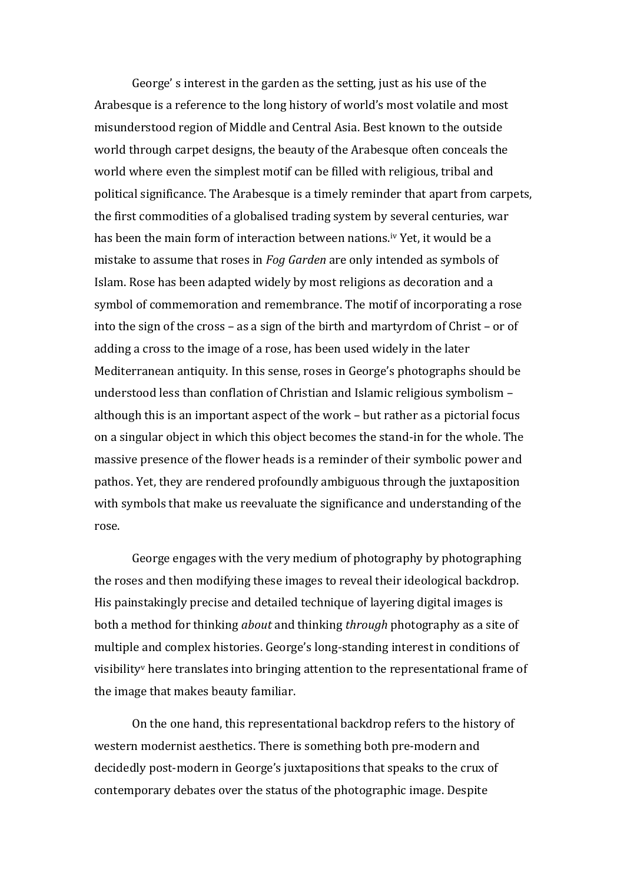George' s interest in the garden as the setting, just as his use of the Arabesque is a reference to the long history of world's most volatile and most misunderstood region of Middle and Central Asia. Best known to the outside world through carpet designs, the beauty of the Arabesque often conceals the world where even the simplest motif can be filled with religious, tribal and political significance. The Arabesque is a timely reminder that apart from carpets, the first commodities of a globalised trading system by several centuries, war has been the main form of interaction between nations.<sup>iv</sup> Yet, it would be a mistake to assume that roses in *Fog Garden* are only intended as symbols of Islam. Rose has been adapted widely by most religions as decoration and a symbol of commemoration and remembrance. The motif of incorporating a rose into the sign of the cross – as a sign of the birth and martyrdom of Christ – or of adding a cross to the image of a rose, has been used widely in the later Mediterranean antiquity. In this sense, roses in George's photographs should be understood less than conflation of Christian and Islamic religious symbolism although this is an important aspect of the work  $-$  but rather as a pictorial focus on a singular object in which this object becomes the stand-in for the whole. The massive presence of the flower heads is a reminder of their symbolic power and pathos. Yet, they are rendered profoundly ambiguous through the juxtaposition with symbols that make us reevaluate the significance and understanding of the rose.

George engages with the very medium of photography by photographing the roses and then modifying these images to reveal their ideological backdrop. His painstakingly precise and detailed technique of layering digital images is both a method for thinking *about* and thinking *through* photography as a site of multiple and complex histories. George's long-standing interest in conditions of visibility<sup> $v$ </sup> here translates into bringing attention to the representational frame of the image that makes beauty familiar.

On the one hand, this representational backdrop refers to the history of western modernist aesthetics. There is something both pre-modern and decidedly post-modern in George's juxtapositions that speaks to the crux of contemporary debates over the status of the photographic image. Despite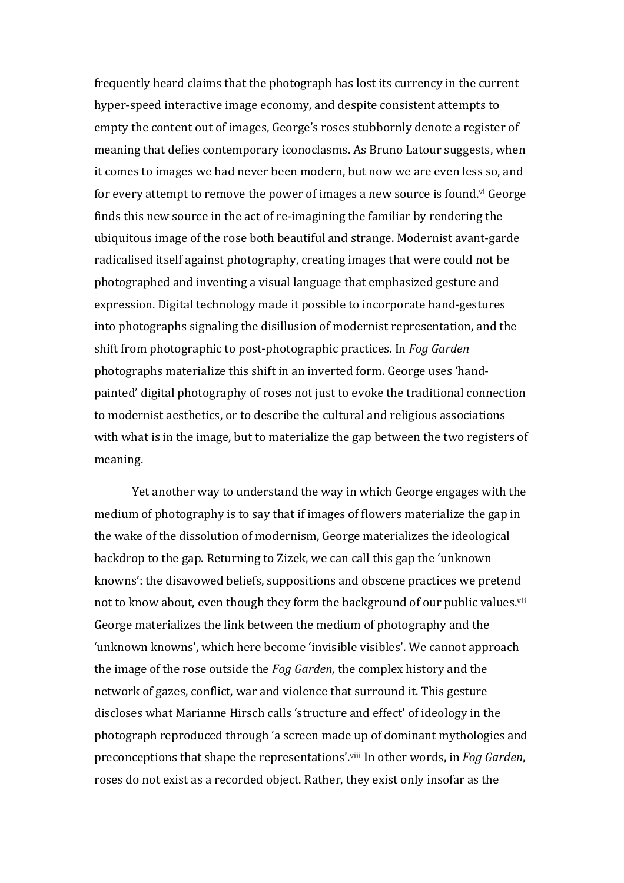frequently heard claims that the photograph has lost its currency in the current hyper-speed interactive image economy, and despite consistent attempts to empty the content out of images, George's roses stubbornly denote a register of meaning that defies contemporary iconoclasms. As Bruno Latour suggests, when it comes to images we had never been modern, but now we are even less so, and for every attempt to remove the power of images a new source is found.<sup>vi</sup> George finds this new source in the act of re-imagining the familiar by rendering the ubiquitous image of the rose both beautiful and strange. Modernist avant-garde radicalised itself against photography, creating images that were could not be photographed and inventing a visual language that emphasized gesture and expression. Digital technology made it possible to incorporate hand-gestures into photographs signaling the disillusion of modernist representation, and the shift from photographic to post-photographic practices. In *Fog Garden* photographs materialize this shift in an inverted form. George uses 'handpainted' digital photography of roses not just to evoke the traditional connection to modernist aesthetics, or to describe the cultural and religious associations with what is in the image, but to materialize the gap between the two registers of meaning.

Yet another way to understand the way in which George engages with the medium of photography is to say that if images of flowers materialize the gap in the wake of the dissolution of modernism, George materializes the ideological backdrop to the gap. Returning to Zizek, we can call this gap the 'unknown' knowns': the disavowed beliefs, suppositions and obscene practices we pretend not to know about, even though they form the background of our public values.<sup>vii</sup> George materializes the link between the medium of photography and the 'unknown knowns', which here become 'invisible visibles'. We cannot approach the image of the rose outside the *Fog Garden*, the complex history and the network of gazes, conflict, war and violence that surround it. This gesture discloses what Marianne Hirsch calls 'structure and effect' of ideology in the photograph reproduced through 'a screen made up of dominant mythologies and preconceptions that shape the representations'.<sup>viii</sup> In other words, in *Fog Garden*, roses do not exist as a recorded object. Rather, they exist only insofar as the